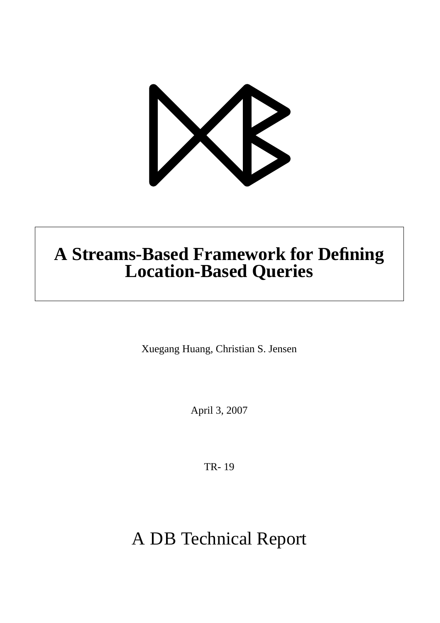

# **A Streams-Based Framework for Defining Location-Based Queries**

Xuegang Huang, Christian S. Jensen

April 3, 2007

TR- 19

A DB Technical Report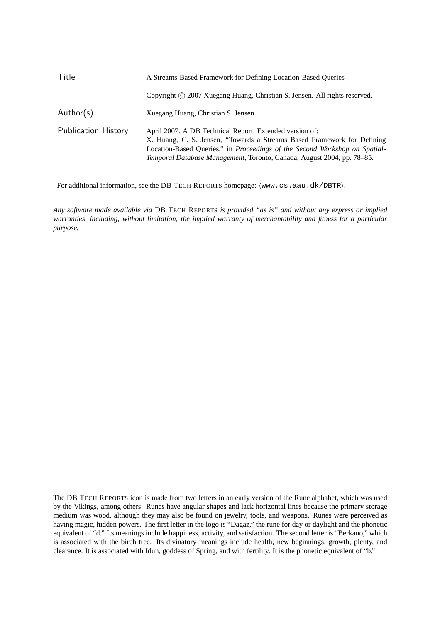| Title                      | A Streams-Based Framework for Defining Location-Based Oueries                                                                                                                                                                                                                              |  |  |
|----------------------------|--------------------------------------------------------------------------------------------------------------------------------------------------------------------------------------------------------------------------------------------------------------------------------------------|--|--|
|                            | Copyright © 2007 Xuegang Huang, Christian S. Jensen. All rights reserved.                                                                                                                                                                                                                  |  |  |
| Author(s)                  | Xuegang Huang, Christian S. Jensen                                                                                                                                                                                                                                                         |  |  |
| <b>Publication History</b> | April 2007. A DB Technical Report. Extended version of:<br>X. Huang, C. S. Jensen, "Towards a Streams Based Framework for Defining<br>Location-Based Queries," in Proceedings of the Second Workshop on Spatial-<br>Temporal Database Management, Toronto, Canada, August 2004, pp. 78-85. |  |  |

For additional information, see the DB TECH REPORTS homepage:  $\langle www.cs.aau.dk/DBTR \rangle$ .

*Any software made available via* DB TECH REPORTS *is provided "as is" and without any express or implied warranties, including, without limitation, the implied warranty of merchantability and fitness for a particular purpose.*

The DB TECH REPORTS icon is made from two letters in an early version of the Rune alphabet, which was used by the Vikings, among others. Runes have angular shapes and lack horizontal lines because the primary storage medium was wood, although they may also be found on jewelry, tools, and weapons. Runes were perceived as having magic, hidden powers. The first letter in the logo is "Dagaz," the rune for day or daylight and the phonetic equivalent of "d." Its meanings include happiness, activity, and satisfaction. The second letter is "Berkano," which is associated with the birch tree. Its divinatory meanings include health, new beginnings, growth, plenty, and clearance. It is associated with Idun, goddess of Spring, and with fertility. It is the phonetic equivalent of "b."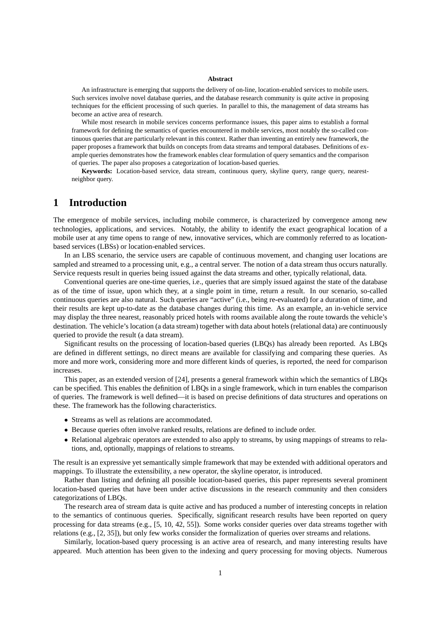#### **Abstract**

An infrastructure is emerging that supports the delivery of on-line, location-enabled services to mobile users. Such services involve novel database queries, and the database research community is quite active in proposing techniques for the efficient processing of such queries. In parallel to this, the management of data streams has become an active area of research.

While most research in mobile services concerns performance issues, this paper aims to establish a formal framework for defining the semantics of queries encountered in mobile services, most notably the so-called continuous queries that are particularly relevant in this context. Rather than inventing an entirely new framework, the paper proposes a framework that builds on concepts from data streams and temporal databases. Definitions of example queries demonstrates how the framework enables clear formulation of query semantics and the comparison of queries. The paper also proposes a categorization of location-based queries.

**Keywords:** Location-based service, data stream, continuous query, skyline query, range query, nearestneighbor query.

## **1 Introduction**

The emergence of mobile services, including mobile commerce, is characterized by convergence among new technologies, applications, and services. Notably, the ability to identify the exact geographical location of a mobile user at any time opens to range of new, innovative services, which are commonly referred to as locationbased services (LBSs) or location-enabled services.

In an LBS scenario, the service users are capable of continuous movement, and changing user locations are sampled and streamed to a processing unit, e.g., a central server. The notion of a data stream thus occurs naturally. Service requests result in queries being issued against the data streams and other, typically relational, data.

Conventional queries are one-time queries, i.e., queries that are simply issued against the state of the database as of the time of issue, upon which they, at a single point in time, return a result. In our scenario, so-called continuous queries are also natural. Such queries are "active" (i.e., being re-evaluated) for a duration of time, and their results are kept up-to-date as the database changes during this time. As an example, an in-vehicle service may display the three nearest, reasonably priced hotels with rooms available along the route towards the vehicle's destination. The vehicle's location (a data stream) together with data about hotels (relational data) are continuously queried to provide the result (a data stream).

Significant results on the processing of location-based queries (LBQs) has already been reported. As LBQs are defined in different settings, no direct means are available for classifying and comparing these queries. As more and more work, considering more and more different kinds of queries, is reported, the need for comparison increases.

This paper, as an extended version of [24], presents a general framework within which the semantics of LBQs can be specified. This enables the definition of LBQs in a single framework, which in turn enables the comparison of queries. The framework is well defined—it is based on precise definitions of data structures and operations on these. The framework has the following characteristics.

- Streams as well as relations are accommodated.
- Because queries often involve ranked results, relations are defined to include order.
- Relational algebraic operators are extended to also apply to streams, by using mappings of streams to relations, and, optionally, mappings of relations to streams.

The result is an expressive yet semantically simple framework that may be extended with additional operators and mappings. To illustrate the extensibility, a new operator, the skyline operator, is introduced.

Rather than listing and defining all possible location-based queries, this paper represents several prominent location-based queries that have been under active discussions in the research community and then considers categorizations of LBQs.

The research area of stream data is quite active and has produced a number of interesting concepts in relation to the semantics of continuous queries. Specifically, significant research results have been reported on query processing for data streams (e.g., [5, 10, 42, 55]). Some works consider queries over data streams together with relations (e.g., [2, 35]), but only few works consider the formalization of queries over streams and relations.

Similarly, location-based query processing is an active area of research, and many interesting results have appeared. Much attention has been given to the indexing and query processing for moving objects. Numerous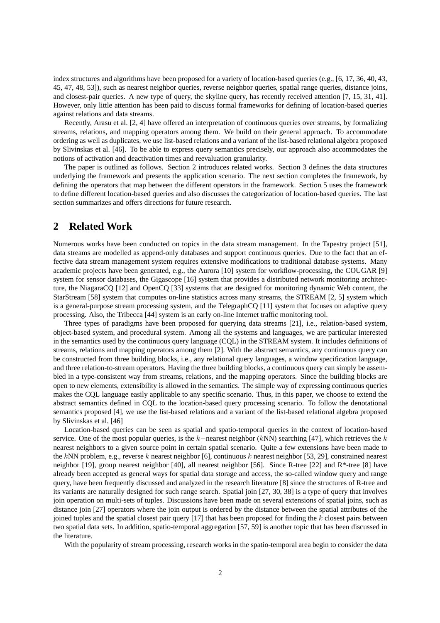index structures and algorithms have been proposed for a variety of location-based queries (e.g., [6, 17, 36, 40, 43, 45, 47, 48, 53]), such as nearest neighbor queries, reverse neighbor queries, spatial range queries, distance joins, and closest-pair queries. A new type of query, the skyline query, has recently received attention [7, 15, 31, 41]. However, only little attention has been paid to discuss formal frameworks for defining of location-based queries against relations and data streams.

Recently, Arasu et al. [2, 4] have offered an interpretation of continuous queries over streams, by formalizing streams, relations, and mapping operators among them. We build on their general approach. To accommodate ordering as well as duplicates, we use list-based relations and a variant of the list-based relational algebra proposed by Slivinskas et al. [46]. To be able to express query semantics precisely, our approach also accommodates the notions of activation and deactivation times and reevaluation granularity.

The paper is outlined as follows. Section 2 introduces related works. Section 3 defines the data structures underlying the framework and presents the application scenario. The next section completes the framework, by defining the operators that map between the different operators in the framework. Section 5 uses the framework to define different location-based queries and also discusses the categorization of location-based queries. The last section summarizes and offers directions for future research.

## **2 Related Work**

Numerous works have been conducted on topics in the data stream management. In the Tapestry project [51], data streams are modelled as append-only databases and support continuous queries. Due to the fact that an effective data stream management system requires extensive modifications to traditional database systems. Many academic projects have been generated, e.g., the Aurora [10] system for workflow-processing, the COUGAR [9] system for sensor databases, the Gigascope [16] system that provides a distributed network monitoring architecture, the NiagaraCQ [12] and OpenCQ [33] systems that are designed for monitoring dynamic Web content, the StarStream [58] system that computes on-line statistics across many streams, the STREAM [2, 5] system which is a general-purpose stream processing system, and the TelegraphCQ [11] system that focuses on adaptive query processing. Also, the Tribecca [44] system is an early on-line Internet traffic monitoring tool.

Three types of paradigms have been proposed for querying data streams [21], i.e., relation-based system, object-based system, and procedural system. Among all the systems and languages, we are particular interested in the semantics used by the continuous query language (CQL) in the STREAM system. It includes definitions of streams, relations and mapping operators among them [2]. With the abstract semantics, any continuous query can be constructed from three building blocks, i.e., any relational query languages, a window specification language, and three relation-to-stream operators. Having the three building blocks, a continuous query can simply be assembled in a type-consistent way from streams, relations, and the mapping operators. Since the building blocks are open to new elements, extensibility is allowed in the semantics. The simple way of expressing continuous queries makes the CQL language easily applicable to any specific scenario. Thus, in this paper, we choose to extend the abstract semantics defined in CQL to the location-based query processing scenario. To follow the denotational semantics proposed [4], we use the list-based relations and a variant of the list-based relational algebra proposed by Slivinskas et al. [46]

Location-based queries can be seen as spatial and spatio-temporal queries in the context of location-based service. One of the most popular queries, is the k−nearest neighbor (kNN) searching [47], which retrieves the k nearest neighbors to a given source point in certain spatial scenario. Quite a few extensions have been made to the kNN problem, e.g., reverse k nearest neighbor [6], continuous k nearest neighbor [53, 29], constrained nearest neighbor [19], group nearest neighbor [40], all nearest neighbor [56]. Since R-tree [22] and R\*-tree [8] have already been accepted as general ways for spatial data storage and access, the so-called window query and range query, have been frequently discussed and analyzed in the research literature [8] since the structures of R-tree and its variants are naturally designed for such range search. Spatial join [27, 30, 38] is a type of query that involves join operation on multi-sets of tuples. Discussions have been made on several extensions of spatial joins, such as distance join [27] operators where the join output is ordered by the distance between the spatial attributes of the joined tuples and the spatial closest pair query  $[17]$  that has been proposed for finding the k closest pairs between two spatial data sets. In addition, spatio-temporal aggregation [57, 59] is another topic that has been discussed in the literature.

With the popularity of stream processing, research works in the spatio-temporal area begin to consider the data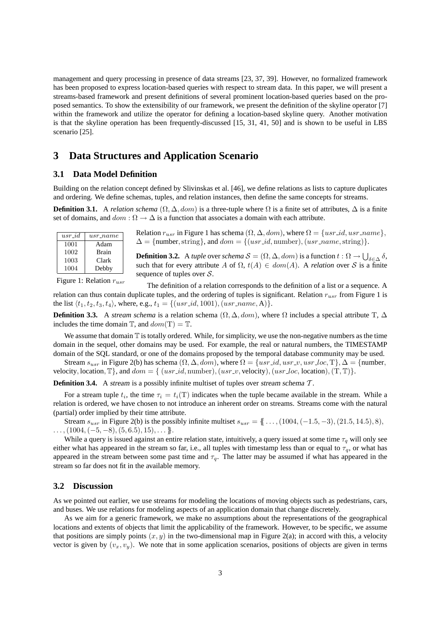management and query processing in presence of data streams [23, 37, 39]. However, no formalized framework has been proposed to express location-based queries with respect to stream data. In this paper, we will present a streams-based framework and present definitions of several prominent location-based queries based on the proposed semantics. To show the extensibility of our framework, we present the definition of the skyline operator [7] within the framework and utilize the operator for defining a location-based skyline query. Another motivation is that the skyline operation has been frequently-discussed [15, 31, 41, 50] and is shown to be useful in LBS scenario [25].

## **3 Data Structures and Application Scenario**

#### **3.1 Data Model Definition**

Building on the relation concept defined by Slivinskas et al. [46], we define relations as lists to capture duplicates and ordering. We define schemas, tuples, and relation instances, then define the same concepts for streams.

**Definition 3.1.** A *relation schema*  $(\Omega, \Delta, dom)$  is a three-tuple where  $\Omega$  is a finite set of attributes.  $\Delta$  is a finite set of domains, and  $dom : \Omega \to \Delta$  is a function that associates a domain with each attribute.

| $usr_id$ | $usr_name$   |
|----------|--------------|
| 1001     | Adam         |
| 1002     | <b>Brain</b> |
| 1003     | Clark        |
| 1004     | Debby        |

Relation  $r_{usr}$  in Figure 1 has schema  $(\Omega, \Delta, dom)$ , where  $\Omega = \{usr\_id,usr\_name\},\$  $\Delta = \{\text{number}, \text{string}\},\,$  and  $dom = \{(usr\_id, \text{number}), (usr\_name, \text{string})\}.$ 

**Definition 3.2.** A *tuple* over *schema*  $S = (\Omega, \Delta, dom)$  is a function  $t : \Omega \to \bigcup_{\delta \in \Delta} \delta$ , such that for every attribute A of  $\Omega$ ,  $t(A) \in dom(A)$ . A *relation* over S is a finite sequence of tuples over  $S$ .

Figure 1: Relation  $r_{usr}$ 

The definition of a relation corresponds to the definition of a list or a sequence. A relation can thus contain duplicate tuples, and the ordering of tuples is significant. Relation  $r_{usr}$  from Figure 1 is the list  $\langle t_1, t_2, t_3, t_4 \rangle$ , where, e.g.,  $t_1 = \{ (usr\_id, 1001), (usr\_name, A) \}.$ 

**Definition 3.3.** A *stream schema* is a relation schema  $(\Omega, \Delta, dom)$ , where  $\Omega$  includes a special attribute T,  $\Delta$ includes the time domain  $\mathbb{T}$ , and  $dom(\mathbb{T}) = \mathbb{T}$ .

We assume that domain  $\mathbb T$  is totally ordered. While, for simplicity, we use the non-negative numbers as the time domain in the sequel, other domains may be used. For example, the real or natural numbers, the TIMESTAMP domain of the SQL standard, or one of the domains proposed by the temporal database community may be used.

Stream  $s_{usr}$  in Figure 2(b) has schema  $(\Omega, \Delta, dom)$ , where  $\Omega = \{usr\_id,usr\_v,usr\_loc, T\}, \Delta = \{number, T\}$ velocity, location,  $\mathbb{T}$ , and  $dom = \{ (usr\_id, \text{number}), (usr\_v, \text{velocity}), (usr\_loc, \text{location}), (T, \mathbb{T}) \}.$ 

**Definition 3.4.** A stream is a possibly infinite multiset of tuples over stream schema T.

For a stream tuple  $t_i$ , the time  $\tau_i = t_i(T)$  indicates when the tuple became available in the stream. While a relation is ordered, we have chosen to not introduce an inherent order on streams. Streams come with the natural (partial) order implied by their time attribute.

Stream susr in Figure 2(b) is the possibly infinite multiset susr = {{ . . . ,(1004,(−1.5, −3),(21.5, 14.5), 8),  $, (1004, (-5, -8), (5, 6.5), 15), \ldots$ .

While a query is issued against an entire relation state, intuitively, a query issued at some time  $\tau_q$  will only see either what has appeared in the stream so far, i.e., all tuples with timestamp less than or equal to  $\tau_q$ , or what has appeared in the stream between some past time and  $\tau_q$ . The latter may be assumed if what has appeared in the stream so far does not fit in the available memory.

#### **3.2 Discussion**

As we pointed out earlier, we use streams for modeling the locations of moving objects such as pedestrians, cars, and buses. We use relations for modeling aspects of an application domain that change discretely.

As we aim for a generic framework, we make no assumptions about the representations of the geographical locations and extents of objects that limit the applicability of the framework. However, to be specific, we assume that positions are simply points  $(x, y)$  in the two-dimensional map in Figure 2(a); in accord with this, a velocity vector is given by  $(v_x, v_y)$ . We note that in some application scenarios, positions of objects are given in terms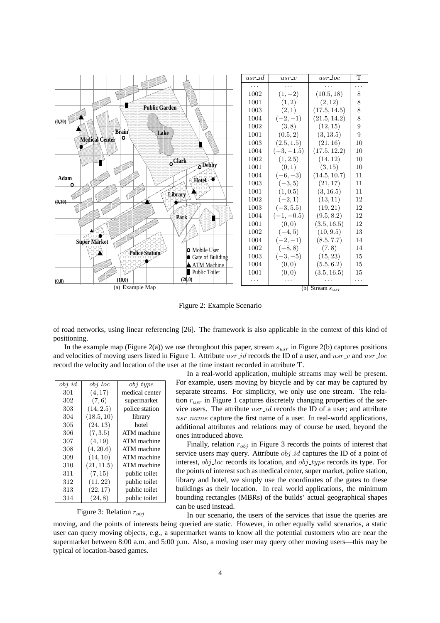

Figure 2: Example Scenario

of road networks, using linear referencing [26]. The framework is also applicable in the context of this kind of positioning.

In the example map (Figure 2(a)) we use throughout this paper, stream  $s_{usr}$  in Figure 2(b) captures positions and velocities of moving users listed in Figure 1. Attribute usr id records the ID of a user, and usr  $\iota$  and usr  $\iota$ loc record the velocity and location of the user at the time instant recorded in attribute T.

| $obj_id$ | $obj\_loc$ | $obj\_type$    |
|----------|------------|----------------|
| 301      | (4, 17)    | medical center |
| 302      | (7, 6)     | supermarket    |
| 303      | (14, 2.5)  | police station |
| 304      | (18.5, 10) | library        |
| 305      | (24, 13)   | hotel          |
| 306      | (7,3.5)    | ATM machine    |
| 307      | (4, 19)    | ATM machine    |
| 308      | (4, 20.6)  | ATM machine    |
| 309      | (14, 10)   | ATM machine    |
| 310      | (21, 11.5) | ATM machine    |
| 311      | (7, 15)    | public toilet  |
| 312      | (11, 22)   | public toilet  |
| 313      | (22, 17)   | public toilet  |
| 314      | (24, 8)    | public toilet  |

In a real-world application, multiple streams may well be present. For example, users moving by bicycle and by car may be captured by separate streams. For simplicity, we only use one stream. The relation  $r_{usr}$  in Figure 1 captures discretely changing properties of the service users. The attribute  $usr_id$  records the ID of a user; and attribute  $usr_name$  capture the first name of a user. In real-world applications, additional attributes and relations may of course be used, beyond the ones introduced above.

Finally, relation  $r_{obj}$  in Figure 3 records the points of interest that service users may query. Attribute  $obj_id$  captures the ID of a point of interest,  $obj\_loc$  records its location, and  $obj\_type$  records its type. For the points of interest such as medical center, super market, police station, library and hotel, we simply use the coordinates of the gates to these buildings as their location. In real world applications, the minimum bounding rectangles (MBRs) of the builds' actual geographical shapes can be used instead.

Figure 3: Relation  $r_{obj}$ 

In our scenario, the users of the services that issue the queries are

moving, and the points of interests being queried are static. However, in other equally valid scenarios, a static user can query moving objects, e.g., a supermarket wants to know all the potential customers who are near the supermarket between 8:00 a.m. and 5:00 p.m. Also, a moving user may query other moving users—this may be typical of location-based games.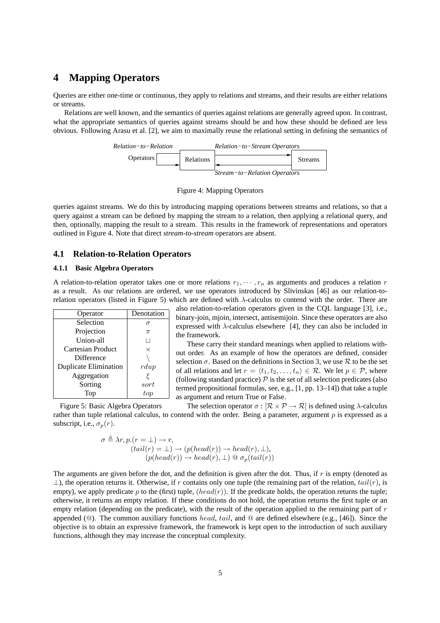## **4 Mapping Operators**

Queries are either one-time or continuous, they apply to relations and streams, and their results are either relations or streams.

Relations are well known, and the semantics of queries against relations are generally agreed upon. In contrast, what the appropriate semantics of queries against streams should be and how these should be defined are less obvious. Following Arasu et al. [2], we aim to maximally reuse the relational setting in defining the semantics of



Figure 4: Mapping Operators

queries against streams. We do this by introducing mapping operations between streams and relations, so that a query against a stream can be defined by mapping the stream to a relation, then applying a relational query, and then, optionally, mapping the result to a stream. This results in the framework of representations and operators outlined in Figure 4. Note that direct *stream-to-stream* operators are absent.

### **4.1 Relation-to-Relation Operators**

#### **4.1.1 Basic Algebra Operators**

A relation-to-relation operator takes one or more relations  $r_1, \dots, r_n$  as arguments and produces a relation r as a result. As our relations are ordered, we use operators introduced by Slivinskas [46] as our relation-torelation operators (listed in Figure 5) which are defined with λ-calculus to contend with the order. There are

| Operator                     | Denotation  |
|------------------------------|-------------|
| Selection                    |             |
| Projection                   | $\pi$       |
| Union-all                    |             |
| Cartesian Product            | $\times$    |
| Difference                   |             |
| <b>Duplicate Elimination</b> | $r \, du$   |
| Aggregation                  | ξ           |
| Sorting                      | sort        |
|                              | ${\it tor}$ |

also relation-to-relation operators given in the CQL language [3], i.e., binary-join, mjoin, intersect, antisemijoin. Since these operators are also expressed with  $\lambda$ -calculus elsewhere [4], they can also be included in the framework.

These carry their standard meanings when applied to relations without order. As an example of how the operators are defined, consider selection  $\sigma$ . Based on the definitions in Section 3, we use  $\mathcal R$  to be the set of all relations and let  $r = \langle t_1, t_2, \ldots, t_n \rangle \in \mathcal{R}$ . We let  $p \in \mathcal{P}$ , where (following standard practice)  $\mathcal P$  is the set of all selection predicates (also termed propositional formulas, see, e.g., [1, pp. 13–14]) that take a tuple as argument and return True or False.

Figure 5: Basic Algebra Operators The selection operator  $\sigma : [\mathcal{R} \times \mathcal{P} \rightarrow \mathcal{R}]$  is defined using  $\lambda$ -calculus rather than tuple relational calculus, to contend with the order. Being a parameter, argument p is expressed as a subscript, i.e.,  $\sigma_p(r)$ .

$$
\sigma \triangleq \lambda r, p.(r = \bot) \rightarrow r,
$$
  
\n
$$
(tail(r) = \bot) \rightarrow (p(head(r)) \rightarrow head(r), \bot),
$$
  
\n
$$
(p(head(r)) \rightarrow head(r), \bot) \text{ @ } \sigma_p(tail(r))
$$

The arguments are given before the dot, and the definition is given after the dot. Thus, if  $r$  is empty (denoted as  $\perp$ ), the operation returns it. Otherwise, if r contains only one tuple (the remaining part of the relation,  $tail(r)$ , is empty), we apply predicate p to the (first) tuple,  $(head(r))$ . If the predicate holds, the operation returns the tuple; otherwise, it returns an empty relation. If these conditions do not hold, the operation returns the first tuple or an empty relation (depending on the predicate), with the result of the operation applied to the remaining part of  $r$ appended ( $@$ ). The common auxiliary functions head, tail, and  $@$  are defined elsewhere (e.g., [46]). Since the objective is to obtain an expressive framework, the framework is kept open to the introduction of such auxiliary functions, although they may increase the conceptual complexity.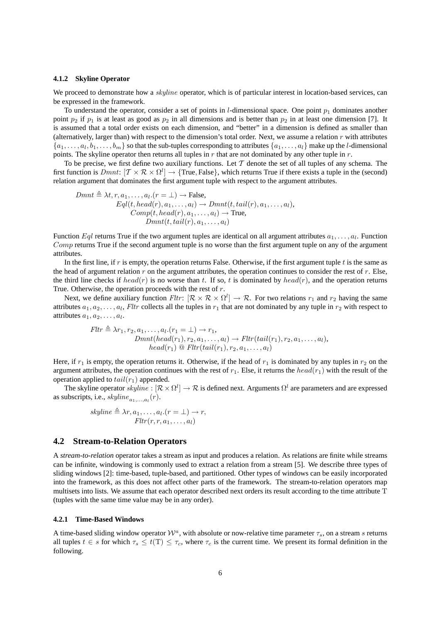#### **4.1.2 Skyline Operator**

We proceed to demonstrate how a *skyline* operator, which is of particular interest in location-based services, can be expressed in the framework.

To understand the operator, consider a set of points in *l*-dimensional space. One point  $p_1$  dominates another point  $p_2$  if  $p_1$  is at least as good as  $p_2$  in all dimensions and is better than  $p_2$  in at least one dimension [7]. It is assumed that a total order exists on each dimension, and "better" in a dimension is defined as smaller than (alternatively, larger than) with respect to the dimension's total order. Next, we assume a relation r with attributes  $\{a_1,\ldots,a_l,b_1,\ldots,b_m\}$  so that the sub-tuples corresponding to attributes  $\{a_1,\ldots,a_l\}$  make up the *l*-dimensional points. The skyline operator then returns all tuples in  $r$  that are not dominated by any other tuple in  $r$ .

To be precise, we first define two auxiliary functions. Let  $\mathcal T$  denote the set of all tuples of any schema. The first function is  $Dmnt$ :  $[\mathcal{T} \times \mathcal{R} \times \Omega^l] \to \{\text{True}, \text{False}\},$  which returns True if there exists a tuple in the (second) relation argument that dominates the first argument tuple with respect to the argument attributes.

$$
Dmnt \triangleq \lambda t, r, a_1, \dots, a_l.(r = \bot) \rightarrow \text{False},
$$
  
\n
$$
Eql(t, head(r), a_1, \dots, a_l) \rightarrow Dmnt(t, tail(r), a_1, \dots, a_l),
$$
  
\n
$$
Comp(t, head(r), a_1, \dots, a_l) \rightarrow \text{True},
$$
  
\n
$$
Dmnt(t, tail(r), a_1, \dots, a_l)
$$

Function  $Eql$  returns True if the two argument tuples are identical on all argument attributes  $a_1, \ldots, a_l$ . Function Comp returns True if the second argument tuple is no worse than the first argument tuple on any of the argument attributes.

In the first line, if r is empty, the operation returns False. Otherwise, if the first argument tuple  $t$  is the same as the head of argument relation r on the argument attributes, the operation continues to consider the rest of  $r$ . Else, the third line checks if head(r) is no worse than t. If so, t is dominated by head(r), and the operation returns True. Otherwise, the operation proceeds with the rest of  $r$ .

Next, we define auxiliary function  $Fltr: [\mathcal{R} \times \mathcal{R} \times \Omega^l] \to \mathcal{R}$ . For two relations  $r_1$  and  $r_2$  having the same attributes  $a_1, a_2, \ldots, a_l$ , Fltr collects all the tuples in  $r_1$  that are not dominated by any tuple in  $r_2$  with respect to attributes  $a_1, a_2, \ldots, a_l$ .

$$
Fltr \triangleq \lambda r_1, r_2, a_1, \ldots, a_l. (r_1 = \bot) \rightarrow r_1,
$$
  
\n
$$
Dmnt(head(r_1), r_2, a_1, \ldots, a_l) \rightarrow Fltr(tail(r_1), r_2, a_1, \ldots, a_l),
$$
  
\n
$$
head(r_1) \text{ @ Fltr(tail(r_1), r_2, a_1, \ldots, a_l)}
$$

Here, if  $r_1$  is empty, the operation returns it. Otherwise, if the head of  $r_1$  is dominated by any tuples in  $r_2$  on the argument attributes, the operation continues with the rest of  $r_1$ . Else, it returns the  $head(r_1)$  with the result of the operation applied to  $tail(r_1)$  appended.

The skyline operator  $skpline : [\mathcal{R}\times\Omega^l]\to\mathcal{R}$  is defined next. Arguments  $\Omega^l$  are parameters and are expressed as subscripts, i.e.,  $skpline_{a_1,...,a_l}(r)$ .

$$
skpline \triangleq \lambda r, a_1, \dots, a_l.(r = \bot) \to r,
$$
  

$$
Fltr(r, r, a_1, \dots, a_l)
$$

#### **4.2 Stream-to-Relation Operators**

A *stream-to-relation* operator takes a stream as input and produces a relation. As relations are finite while streams can be infinite, windowing is commonly used to extract a relation from a stream [5]. We describe three types of sliding windows [2]: time-based, tuple-based, and partitioned. Other types of windows can be easily incorporated into the framework, as this does not affect other parts of the framework. The stream-to-relation operators map multisets into lists. We assume that each operator described next orders its result according to the time attribute T (tuples with the same time value may be in any order).

#### **4.2.1 Time-Based Windows**

A time-based sliding window operator  $\mathcal{W}^a$ , with absolute or now-relative time parameter  $\tau_s$ , on a stream s returns all tuples  $t \in s$  for which  $\tau_s \leq t(T) \leq \tau_c$ , where  $\tau_c$  is the current time. We present its formal definition in the following.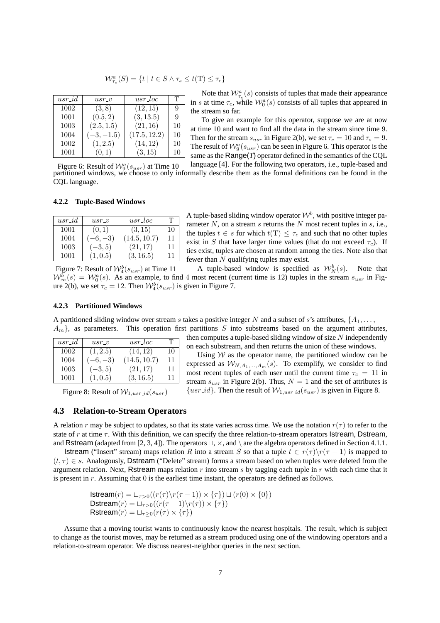$$
\mathcal{W}_{\tau_s}^a(S) = \{ t \mid t \in S \land \tau_s \le t(T) \le \tau_c \}
$$

| $usr_id$ | $usr\_v$     | usr_loc      | т  |
|----------|--------------|--------------|----|
| 1002     | (3, 8)       | (12, 15)     | 9  |
| 1001     | (0.5, 2)     | (3, 13.5)    | 9  |
| 1003     | (2.5, 1.5)   | (21, 16)     | 10 |
| 1004     | $(-3, -1.5)$ | (17.5, 12.2) | 10 |
| 1002     | (1, 2.5)     | (14, 12)     | 10 |
| 1001     | (0,1)        | (3, 15)      | 10 |

Note that  $W_{\tau_c}^a(s)$  consists of tuples that made their appearance in s at time  $\tau_c$ , while  $\mathcal{W}_0^a(s)$  consists of all tuples that appeared in the stream so far.

To give an example for this operator, suppose we are at now at time 10 and want to find all the data in the stream since time 9. Then for the stream  $s_{usr}$  in Figure 2(b), we set  $\tau_c = 10$  and  $\tau_s = 9$ . The result of  $\mathcal{W}_9^a(s_{usr})$  can be seen in Figure 6. This operator is the same as the Range(*T*) operator defined in the semantics of the CQL

Figure 6: Result of  $\mathcal{W}_9^a(s_{usr})$  at Time 10 language [4]. For the following two operators, i.e., tuple-based and partitioned windows, we choose to only informally describe them as the formal definitions can be found in the CQL language.

#### **4.2.2 Tuple-Based Windows**

| $usr_id$ | $usr_v$   | $usr\_loc$   | т  |
|----------|-----------|--------------|----|
| 1001     | (0,1)     | (3, 15)      | 10 |
| 1004     | $-6, -3)$ | (14.5, 10.7) | 11 |
| 1003     | $(-3, 5)$ | (21, 17)     | 11 |
| 1001     | (1, 0.5)  | (3, 16.5)    | 11 |

A tuple-based sliding window operator  $\mathcal{W}^b$ , with positive integer parameter  $N$ , on a stream  $s$  returns the  $N$  most recent tuples in  $s$ , i.e., the tuples  $t \in s$  for which  $t(T) \leq \tau_c$  and such that no other tuples exist in S that have larger time values (that do not exceed  $\tau_c$ ). If ties exist, tuples are chosen at random among the ties. Note also that fewer than N qualifying tuples may exist.

Figure 7: Result of  $\mathcal{W}_4^b(s_{usr})$  at Time 11 A tuple-based window is specified as  $W_N^b(s)$ . Note that  $W^{\overline{b}}_{\infty}(s) = W^a_0(s)$ . As an example, to find 4 most recent (current time is 12) tuples in the stream  $s_{usr}$  in Figure 2(b), we set  $\tau_c = 12$ . Then  $\mathcal{W}_4^b(s_{usr})$  is given in Figure 7.

#### **4.2.3 Partitioned Windows**

A partitioned sliding window over stream s takes a positive integer N and a subset of s's attributes,  $\{A_1, \ldots, A_n\}$  $A_m$ , as parameters. This operation first partitions S into substreams based on the argument attributes,

| $usr_id$ | $usr\_v$  | $usr\_loc$   | т  |
|----------|-----------|--------------|----|
| 1002     | (1, 2.5)  | (14, 12)     | 10 |
| 1004     | $-6, -3)$ | (14.5, 10.7) | 11 |
| 1003     | $(-3, 5)$ | (21, 17)     | 11 |
| 1001     | (1, 0.5)  | (3, 16.5)    | 11 |

Figure 8: Result of  $W_{1,usr\_id}(s_{usr})$ 

then computes a tuple-based sliding window of size  $N$  independently on each substream, and then returns the union of these windows.

Using  $W$  as the operator name, the partitioned window can be expressed as  $W_{N,A_1,...,A_m}(s)$ . To exemplify, we consider to find most recent tuples of each user until the current time  $\tau_c = 11$  in stream  $s_{usr}$  in Figure 2(b). Thus,  $N = 1$  and the set of attributes is  $\{usr\_id\}$ . Then the result of  $W_{1,usr\_id}(s_{usr})$  is given in Figure 8.

#### **4.3 Relation-to-Stream Operators**

A relation r may be subject to updates, so that its state varies across time. We use the notation  $r(\tau)$  to refer to the state of r at time  $\tau$ . With this definition, we can specify the three relation-to-stream operators Istream, Dstream, and Rstream (adapted from [2, 3, 4]). The operators  $\sqcup$ ,  $\times$ , and  $\setminus$  are the algebra operators defined in Section 4.1.1.

**Istream** ("Insert" stream) maps relation R into a stream S so that a tuple  $t \in r(\tau) \setminus r(\tau - 1)$  is mapped to  $(t, \tau) \in s$ . Analogously, Dstream ("Delete" stream) forms a stream based on when tuples were deleted from the argument relation. Next, Rstream maps relation  $r$  into stream  $s$  by tagging each tuple in  $r$  with each time that it is present in  $r$ . Assuming that  $0$  is the earliest time instant, the operators are defined as follows.

> Istream $(r) = \Box_{\tau>0}((r(\tau) \setminus r(\tau - 1)) \times {\tau}) \sqcup (r(0) \times {0})$ Dstream $(r) = \Box_{\tau>0}((r(\tau-1)\backslash r(\tau))\times {\tau})$ Rstream $(r) = \Box_{\tau>0}(r(\tau) \times {\tau})$

Assume that a moving tourist wants to continuously know the nearest hospitals. The result, which is subject to change as the tourist moves, may be returned as a stream produced using one of the windowing operators and a relation-to-stream operator. We discuss nearest-neighbor queries in the next section.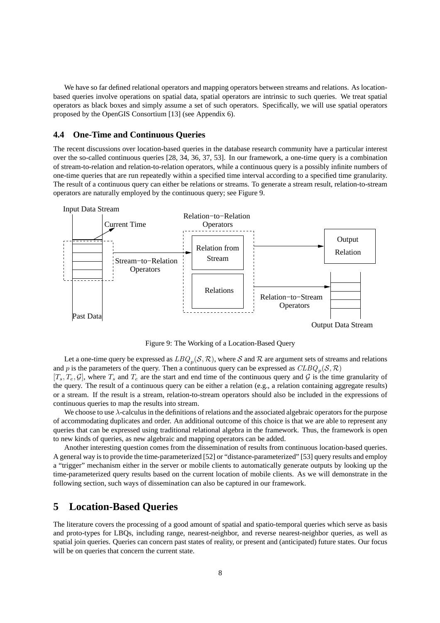We have so far defined relational operators and mapping operators between streams and relations. As locationbased queries involve operations on spatial data, spatial operators are intrinsic to such queries. We treat spatial operators as black boxes and simply assume a set of such operators. Specifically, we will use spatial operators proposed by the OpenGIS Consortium [13] (see Appendix 6).

#### **4.4 One-Time and Continuous Queries**

The recent discussions over location-based queries in the database research community have a particular interest over the so-called continuous queries [28, 34, 36, 37, 53]. In our framework, a one-time query is a combination of stream-to-relation and relation-to-relation operators, while a continuous query is a possibly infinite numbers of one-time queries that are run repeatedly within a specified time interval according to a specified time granularity. The result of a continuous query can either be relations or streams. To generate a stream result, relation-to-stream operators are naturally employed by the continuous query; see Figure 9.



Figure 9: The Working of a Location-Based Query

Let a one-time query be expressed as  $LBQ_p(\mathcal{S}, \mathcal{R})$ , where  $\mathcal S$  and  $\mathcal R$  are argument sets of streams and relations and p is the parameters of the query. Then a continuous query can be expressed as  $CLBQ_p(S, \mathcal{R})$  $[T_s, T_e, \mathcal{G}]$ , where  $T_s$  and  $T_e$  are the start and end time of the continuous query and  $\mathcal{G}$  is the time granularity of

the query. The result of a continuous query can be either a relation (e.g., a relation containing aggregate results) or a stream. If the result is a stream, relation-to-stream operators should also be included in the expressions of continuous queries to map the results into stream.

We choose to use λ-calculus in the definitions of relations and the associated algebraic operators for the purpose of accommodating duplicates and order. An additional outcome of this choice is that we are able to represent any queries that can be expressed using traditional relational algebra in the framework. Thus, the framework is open to new kinds of queries, as new algebraic and mapping operators can be added.

Another interesting question comes from the dissemination of results from continuous location-based queries. A general way is to provide the time-parameterized [52] or "distance-parameterized" [53] query results and employ a "trigger" mechanism either in the server or mobile clients to automatically generate outputs by looking up the time-parameterized query results based on the current location of mobile clients. As we will demonstrate in the following section, such ways of dissemination can also be captured in our framework.

## **5 Location-Based Queries**

The literature covers the processing of a good amount of spatial and spatio-temporal queries which serve as basis and proto-types for LBQs, including range, nearest-neighbor, and reverse nearest-neighbor queries, as well as spatial join queries. Queries can concern past states of reality, or present and (anticipated) future states. Our focus will be on queries that concern the current state.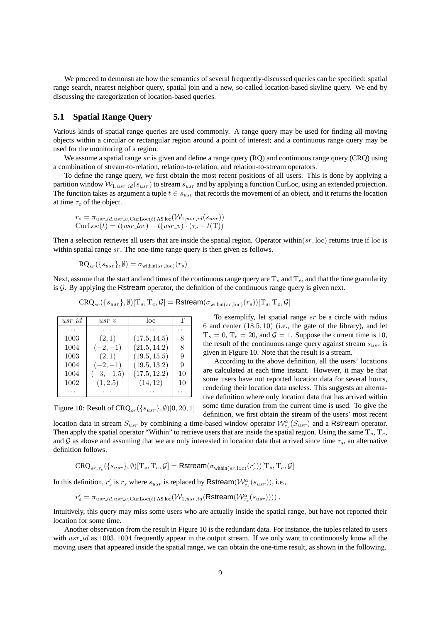We proceed to demonstrate how the semantics of several frequently-discussed queries can be specified: spatial range search, nearest neighbor query, spatial join and a new, so-called location-based skyline query. We end by discussing the categorization of location-based queries.

## **5.1 Spatial Range Query**

Various kinds of spatial range queries are used commonly. A range query may be used for finding all moving objects within a circular or rectangular region around a point of interest; and a continuous range query may be used for the monitoring of a region.

We assume a spatial range  $sr$  is given and define a range query ( $RQ$ ) and continuous range query ( $CRQ$ ) using a combination of stream-to-relation, relation-to-relation, and relation-to-stream operators.

To define the range query, we first obtain the most recent positions of all users. This is done by applying a partition window  $W_{1,usr\_id}(s_{usr})$  to stream  $s_{usr}$  and by applying a function CurLoc, using an extended projection. The function takes as argument a tuple  $t \in s_{usr}$  that records the movement of an object, and it returns the location at time  $\tau_c$  of the object.

$$
r_s = \pi_{usr\_id,usr\_v, \text{CurLoc}(t) \text{ AS loc}}(\mathcal{W}_{1,usr\_id}(s_{usr}))
$$
  
CurLoc(t) = t(usr\\_loc) + t(usr\\_v) \cdot (\tau\_c - t(T))

Then a selection retrieves all users that are inside the spatial region. Operator within $(sr, loc)$  returns true if loc is within spatial range  $sr$ . The one-time range query is then given as follows.

$$
\mathrm{RQ}_{sr}(\lbrace s_{usr} \rbrace, \emptyset) = \sigma_{\text{within}(sr, \mathrm{loc})}(r_s)
$$

Next, assume that the start and end times of the continuous range query are  $T_s$  and  $T_e$ , and that the time granularity is  $G$ . By applying the Rstream operator, the definition of the continuous range query is given next.

$$
\text{CRQ}_{sr}(\{s_{usr}\}, \emptyset)[\mathrm{T}_s, \mathrm{T}_e, \mathcal{G}] = \textsf{Rstream}(\sigma_{\text{within}(sr, \text{loc})}(r_s))[\mathrm{T}_s, \mathrm{T}_e, \mathcal{G}]
$$

| $usr_id$ | $usr\_v$     | loc          | Т  |
|----------|--------------|--------------|----|
|          |              |              |    |
| 1003     | (2,1)        | (17.5, 14.5) | 8  |
| 1004     | $(-2,-1)$    | (21.5, 14.2) | 8  |
| 1003     | (2,1)        | (19.5, 15.5) | 9  |
| 1004     | $(-2,-1)$    | (19.5, 13.2) | 9  |
| 1004     | $(-3, -1.5)$ | (17.5, 12.2) | 10 |
| 1002     | (1, 2.5)     | (14, 12)     | 10 |
|          |              |              |    |

Figure 10: Result of  $C R Q_{sr}({s_{usr}},\emptyset)[0,20,1]$ 

To exemplify, let spatial range sr be a circle with radius  $6$  and center  $(18.5, 10)$  (i.e., the gate of the library), and let  $T_s = 0$ ,  $T_e = 20$ , and  $\mathcal{G} = 1$ . Suppose the current time is 10, the result of the continuous range query against stream  $s_{usr}$  is given in Figure 10. Note that the result is a stream.

According to the above definition, all the users' locations are calculated at each time instant. However, it may be that some users have not reported location data for several hours, rendering their location data useless. This suggests an alternative definition where only location data that has arrived within some time duration from the current time is used. To give the definition, we first obtain the stream of the users' most recent

location data in stream  $S_{usr}$  by combining a time-based window operator  $\mathcal{W}_{\tau_s}^a(S_{usr})$  and a Rstream operator. Then apply the spatial operator "Within" to retrieve users that are inside the spatial region. Using the same  $T_s$ ,  $T_e$ , and G as above and assuming that we are only interested in location data that arrived since time  $\tau_s$ , an alternative definition follows.

$$
\text{CRQ}_{sr,\tau_s}(\{s_{usr}\},\emptyset)[\mathrm{T}_s,\mathrm{T}_e,\mathcal{G}]=\text{Rstream}(\sigma_{\text{within}(sr,\text{loc})}(r'_s))[\mathrm{T}_s,\mathrm{T}_e,\mathcal{G}]
$$

In this definition,  $r'_s$  is  $r_s$  where  $s_{usr}$  is replaced by Rstream( $\mathcal{W}^a_{\tau_s}(s_{usr})$ ), i.e.,

 $r'_s = \pi_{usr\_id,usr\_v, \mathrm{CurLoc}(t)}$  as loc $(\mathcal{W}_{1,usr\_id}(\mathsf{Rstream}(\mathcal{W}_{\tau_s}^a(s_{usr}))))$  .

Intuitively, this query may miss some users who are actually inside the spatial range, but have not reported their location for some time.

Another observation from the result in Figure 10 is the redundant data. For instance, the tuples related to users with  $usr\_id$  as 1003, 1004 frequently appear in the output stream. If we only want to continuously know all the moving users that appeared inside the spatial range, we can obtain the one-time result, as shown in the following.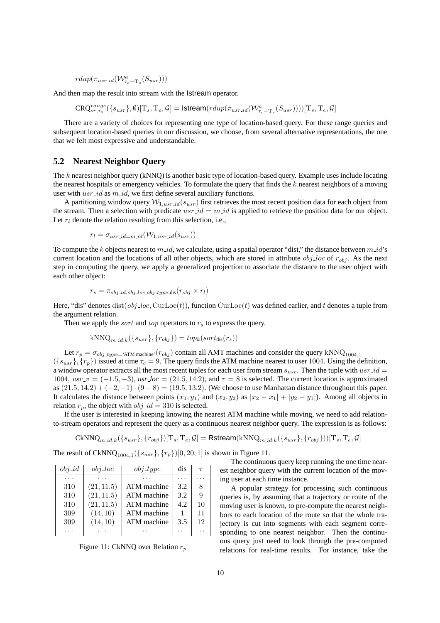$roup(\pi_{usr\_id}(\mathcal{W}^a_{\tau_c-\mathrm{T}_s}(S_{usr})))$ 

And then map the result into stream with the Istream operator.

 $\text{CRQ}_{sr,\tau_s}^{range}(\{s_{usr}\}, \emptyset)[\mathrm{T}_s, \mathrm{T}_e, \mathcal{G}] = \textsf{Istream}(rdup(\pi_{usr\_id}(\mathcal{W}_{\tau_c-\mathrm{T}_s}^a(S_{usr}))))[\mathrm{T}_s, \mathrm{T}_e, \mathcal{G}]$ 

There are a variety of choices for representing one type of location-based query. For these range queries and subsequent location-based queries in our discussion, we choose, from several alternative representations, the one that we felt most expressive and understandable.

#### **5.2 Nearest Neighbor Query**

The k nearest neighbor query (kNNQ) is another basic type of location-based query. Example uses include locating the nearest hospitals or emergency vehicles. To formulate the query that finds the  $k$  nearest neighbors of a moving user with  $usr_id$  as  $m_id$ , we first define several auxiliary functions.

A partitioning window query  $W_{1,usr, id}(s_{usr})$  first retrieves the most recent position data for each object from the stream. Then a selection with predicate  $usr_id = m_id$  is applied to retrieve the position data for our object. Let  $r_l$  denote the relation resulting from this selection, i.e.,

$$
r_l = \sigma_{usr\_id = m\_id}(\mathcal{W}_{1,usr\_id}(s_{usr}))
$$

To compute the k objects nearest to  $m_id$ , we calculate, using a spatial operator "dist," the distance between  $m_id$ 's current location and the locations of all other objects, which are stored in attribute  $obj\_loc$  of  $r_{obj}$ . As the next step in computing the query, we apply a generalized projection to associate the distance to the user object with each other object:

$$
r_s = \pi_{obj\_id,obj\_loc,obj\_type,dis}(r_{obj} \times r_l)
$$

Here, "dis" denotes dist( $obj\_loc$ , CurLoc(t)), function CurLoc(t) was defined earlier, and t denotes a tuple from the argument relation.

Then we apply the *sort* and *top* operators to  $r<sub>s</sub>$  to express the query.

$$
kNNQ_{m_id,k}(\{s_{usr}\}, \{r_{obj}\}) = top_k(sort_{dis}(r_s))
$$

Let  $r_p = \sigma_{obj\_type = 'ATM}$  machine'( $r_{obj}$ ) contain all AMT machines and consider the query kNNQ<sub>1004,1</sub>  $({s_{usr}}, {r_p})$  issued at time  $\tau_c = 9$ . The query finds the ATM machine nearest to user 1004. Using the definition, a window operator extracts all the most recent tuples for each user from stream  $s_{usr}$ . Then the tuple with  $usr_id =$ 1004,  $usr_\textit{-}v = (-1.5, -3)$ ,  $usr_\textit{-}loc = (21.5, 14.2)$ , and  $\tau = 8$  is selected. The current location is approximated as  $(21.5, 14.2) + (-2, -1) \cdot (9 - 8) = (19.5, 13.2)$ . (We choose to use Manhattan distance throughout this paper. It calculates the distance between points  $(x_1, y_1)$  and  $(x_2, y_2)$  as  $|x_2 - x_1| + |y_2 - y_1|$ ). Among all objects in relation  $r_p$ , the object with  $obj\_id = 310$  is selected.

If the user is interested in keeping knowing the nearest ATM machine while moving, we need to add relationto-stream operators and represent the query as a continuous nearest neighbor query. The expression is as follows:

$$
\mathrm{CKNNQ}_{m_id,k}(\{s_{usr}\}, \{r_{obj}\})[\mathrm{T}_s, \mathrm{T}_e, \mathcal{G}] = \mathsf{Rstream}(\mathrm{kNNQ}_{m_id,k}(\{s_{usr}\}, \{r_{obj}\}))[\mathrm{T}_s, \mathrm{T}_e, \mathcal{G}]
$$

The result of CkNNQ<sub>1004,1</sub> ( ${s_{usr}}$ ,  ${r_p}$ )[0, 20, 1] is shown in Figure 11.

| $obj_id$ | $obj\_loc$ | $obj\_type$ | dis | $\tau$ |
|----------|------------|-------------|-----|--------|
|          |            |             |     |        |
| 310      | (21, 11.5) | ATM machine | 3.2 | 8      |
| 310      | (21, 11.5) | ATM machine | 3.2 | 9      |
| 310      | (21, 11.5) | ATM machine | 4.2 | 10     |
| 309      | (14, 10)   | ATM machine |     | 11     |
| 309      | (14, 10)   | ATM machine | 3.5 | 12     |
|          |            |             |     |        |

Figure 11: CkNNQ over Relation  $r_p$ 

The continuous query keep running the one time nearest neighbor query with the current location of the moving user at each time instance.

A popular strategy for processing such continuous queries is, by assuming that a trajectory or route of the moving user is known, to pre-compute the nearest neighbors to each location of the route so that the whole trajectory is cut into segments with each segment corresponding to one nearest neighbor. Then the continuous query just need to look through the pre-computed relations for real-time results. For instance, take the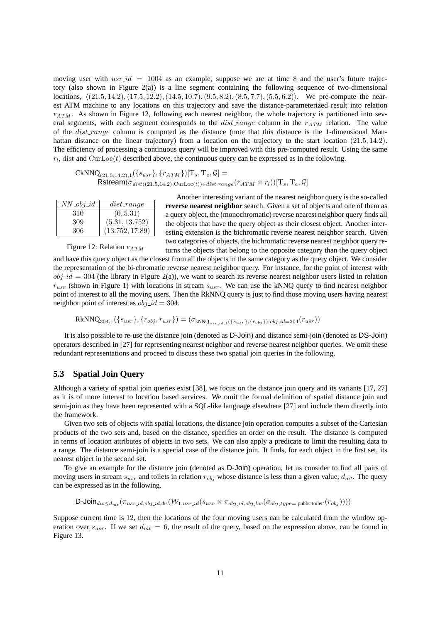moving user with  $usr_id = 1004$  as an example, suppose we are at time 8 and the user's future trajectory (also shown in Figure 2(a)) is a line segment containing the following sequence of two-dimensional locations,  $(21.5, 14.2), (17.5, 12.2), (14.5, 10.7), (9.5, 8.2), (8.5, 7.7), (5.5, 6.2)$ . We pre-compute the nearest ATM machine to any locations on this trajectory and save the distance-parameterized result into relation  $r_{ATM}$ . As shown in Figure 12, following each nearest neighbor, the whole trajectory is partitioned into several segments, with each segment corresponds to the  $dist_range$  column in the  $r_{ATM}$  relation. The value of the *dist\_range* column is computed as the distance (note that this distance is the 1-dimensional Manhattan distance on the linear trajectory) from a location on the trajectory to the start location (21.5, 14.2). The efficiency of processing a continuous query will be improved with this pre-computed result. Using the same  $r_l$ , dist and CurLoc(t) described above, the continuous query can be expressed as in the following.

 $CKNNQ_{(21.5,14.2),1}(\lbrace s_{usr}\rbrace, \lbrace r_{ATM}\rbrace)[T_s, T_e, \mathcal{G}]=$  $Rstream(\sigma_{dist((21.5,14.2),\text{CurLoc}(t)) \in dist\_range}(r_{ATM} \times r_l))[\text{T}_s, \text{T}_e, \mathcal{G}]$ 

| $NN\_obj\_id$ | $dist\_range$   |
|---------------|-----------------|
| 310           | (0, 5.31)       |
| 309           | (5.31, 13.752)  |
| 306           | (13.752, 17.89) |

Another interesting variant of the nearest neighbor query is the so-called **reverse nearest neighbor** search. Given a set of objects and one of them as a query object, the (monochromatic) reverse nearest neighbor query finds all the objects that have the query object as their closest object. Another interesting extension is the bichromatic reverse nearest neighbor search. Given two categories of objects, the bichromatic reverse nearest neighbor query re-

Figure 12: Relation  $r_{ATM}$ 

turns the objects that belong to the opposite category than the query object and have this query object as the closest from all the objects in the same category as the query object. We consider the representation of the bi-chromatic reverse nearest neighbor query. For instance, for the point of interest with  $obj_id = 304$  (the library in Figure 2(a)), we want to search its reverse nearest neighbor users listed in relation  $r_{usr}$  (shown in Figure 1) with locations in stream  $s_{usr}$ . We can use the kNNQ query to find nearest neighbor point of interest to all the moving users. Then the RkNNQ query is just to find those moving users having nearest neighbor point of interest as  $obj\_id = 304$ .

$$
RkNNQ_{304,1}(\{s_{usr}\}, \{r_{obj}, r_{usr}\}) = (\sigma_{kNNQ_{usr_id,1}(\{s_{usr}\}, \{r_{obj}\}).obj_id=304}(r_{usr}))
$$

It is also possible to re-use the distance join (denoted as D-Join) and distance semi-join (denoted as DS-Join) operators described in [27] for representing nearest neighbor and reverse nearest neighbor queries. We omit these redundant representations and proceed to discuss these two spatial join queries in the following.

#### **5.3 Spatial Join Query**

Although a variety of spatial join queries exist [38], we focus on the distance join query and its variants [17, 27] as it is of more interest to location based services. We omit the formal definition of spatial distance join and semi-join as they have been represented with a SQL-like language elsewhere [27] and include them directly into the framework.

Given two sets of objects with spatial locations, the distance join operation computes a subset of the Cartesian products of the two sets and, based on the distance, specifies an order on the result. The distance is computed in terms of location attributes of objects in two sets. We can also apply a predicate to limit the resulting data to a range. The distance semi-join is a special case of the distance join. It finds, for each object in the first set, its nearest object in the second set.

To give an example for the distance join (denoted as D-Join) operation, let us consider to find all pairs of moving users in stream  $s_{usr}$  and toilets in relation  $r_{obj}$  whose distance is less than a given value,  $d_{mt}$ . The query can be expressed as in the following.

$$
\text{D-Join}_{dis \leq d_{mt}}(\pi_{usr\_id, obj\_id, dis}(\mathcal{W}_{1,usr\_id}(s_{usr} \times \pi_{obj\_id, obj\_loc}(\sigma_{obj\_type='public\, (r_{obj}))))
$$

Suppose current time is 12, then the locations of the four moving users can be calculated from the window operation over  $s_{usr}$ . If we set  $d_{mt} = 6$ , the result of the query, based on the expression above, can be found in Figure 13.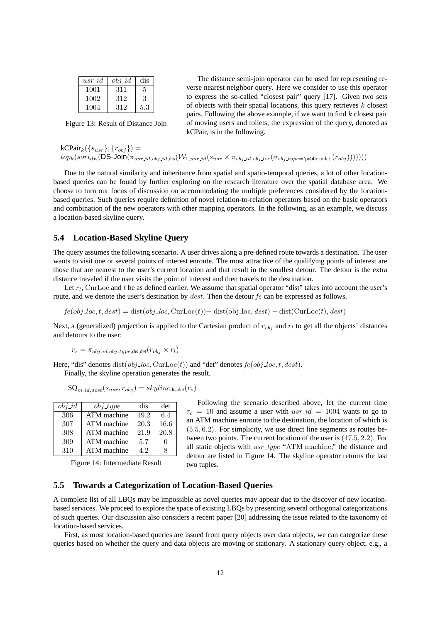| $usr_id$ | $obj_id$ | dis |
|----------|----------|-----|
| 1001     | 311      | 5   |
| 1002     | 312      | 3   |
| 1004     | 312      | 5.3 |

Figure 13: Result of Distance Join

The distance semi-join operator can be used for representing reverse nearest neighbor query. Here we consider to use this operator to express the so-called "closest pair" query [17]. Given two sets of objects with their spatial locations, this query retrieves  $k$  closest pairs. Following the above example, if we want to find  $k$  closest pair of moving users and toilets, the expression of the query, denoted as kCPair, is in the following.

 $kCPair_k({s_{usr}}, {r_{obj}})$  $top_k(sort_{dis}(DS\text{-Join}(\pi_{usr\_id,obj\_id,dis}(\mathcal{W}_{1,usr\_id}(s_{usr} \times \pi_{obj\_id,obj\_loc}(\sigma_{obj\_type='public\,}(\tau_{obj})))))))$ 

Due to the natural similarity and inheritance from spatial and spatio-temporal queries, a lot of other locationbased queries can be found by further exploring on the research literature over the spatial database area. We choose to turn our focus of discussion on accommodating the multiple preferences considered by the locationbased queries. Such queries require definition of novel relation-to-relation operators based on the basic operators and combination of the new operators with other mapping operators. In the following, as an example, we discuss a location-based skyline query.

#### **5.4 Location-Based Skyline Query**

The query assumes the following scenario. A user drives along a pre-defined route towards a destination. The user wants to visit one or several points of interest enroute. The most attractive of the qualifying points of interest are those that are nearest to the user's current location and that result in the smallest detour. The detour is the extra distance traveled if the user visits the point of interest and then travels to the destination.

Let  $r_l$ , CurLoc and t be as defined earlier. We assume that spatial operator "dist" takes into account the user's route, and we denote the user's destination by *dest*. Then the detour *fe* can be expressed as follows.

 $f_{\mathcal{E}}(\text{obj} \text{ } \text{loc}, t, \text{ } \text{dest}) = \text{dist}(\text{obj} \text{ } \text{loc}, \text{CutLoc}(t)) + \text{dist}(\text{obj} \text{ } \text{loc}, \text{ } \text{dest}) - \text{dist}(\text{CutLoc}(t), \text{ } \text{dest})$ 

Next, a (generalized) projection is applied to the Cartesian product of  $r_{obj}$  and  $r_l$  to get all the objects' distances and detours to the user:

$$
r_s = \pi_{obj\_id,obj\_type,dis,det}(r_{obj} \times r_l)
$$

Here, "dis" denotes dist $(obj\_loc, CurLoc(t))$  and "det" denotes  $fe(obj\_loc, t, dest)$ . Finally, the skyline operation generates the result.

 $\text{SQ}_{m \text{ id }dest}(s_{usr}, r_{obj}) = skyline_{dis,det}(r_s)$ 

| $obj_id$ | $obj\_type$ | dis  | det  |
|----------|-------------|------|------|
| 306      | ATM machine | 19.2 | 6.4  |
| 307      | ATM machine | 20.3 | 16.6 |
| 308      | ATM machine | 21.9 | 20.8 |
| 309      | ATM machine | 5.7  |      |
| 310      | ATM machine | 42   |      |

Figure 14: Intermediate Result

Following the scenario described above, let the current time  $\tau_c = 10$  and assume a user with  $usr_id = 1004$  wants to go to an ATM machine enroute to the destination, the location of which is  $(5.5, 6.2)$ . For simplicity, we use direct line segments as routes between two points. The current location of the user is (17.5, 2.2). For all static objects with  $usr\_type$  "ATM machine," the distance and detour are listed in Figure 14. The skyline operator returns the last two tuples.

#### **5.5 Towards a Categorization of Location-Based Queries**

A complete list of all LBQs may be impossible as novel queries may appear due to the discover of new locationbased services. We proceed to explore the space of existing LBQs by presenting several orthogonal categorizations of such queries. Our discussion also considers a recent paper [20] addressing the issue related to the taxonomy of location-based services.

First, as most location-based queries are issued from query objects over data objects, we can categorize these queries based on whether the query and data objects are moving or stationary. A stationary query object, e.g., a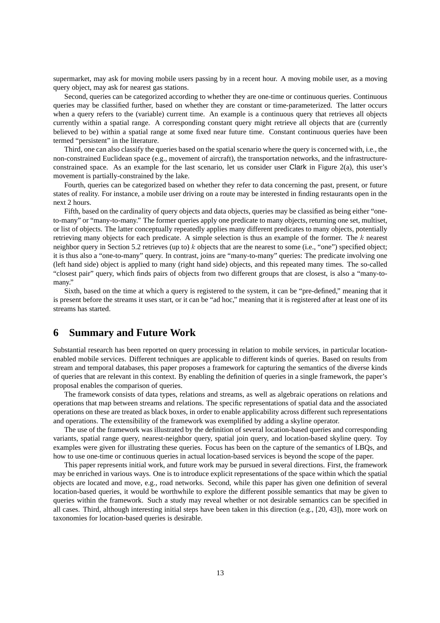supermarket, may ask for moving mobile users passing by in a recent hour. A moving mobile user, as a moving query object, may ask for nearest gas stations.

Second, queries can be categorized according to whether they are one-time or continuous queries. Continuous queries may be classified further, based on whether they are constant or time-parameterized. The latter occurs when a query refers to the (variable) current time. An example is a continuous query that retrieves all objects currently within a spatial range. A corresponding constant query might retrieve all objects that are (currently believed to be) within a spatial range at some fixed near future time. Constant continuous queries have been termed "persistent" in the literature.

Third, one can also classify the queries based on the spatial scenario where the query is concerned with, i.e., the non-constrained Euclidean space (e.g., movement of aircraft), the transportation networks, and the infrastructureconstrained space. As an example for the last scenario, let us consider user Clark in Figure 2(a), this user's movement is partially-constrained by the lake.

Fourth, queries can be categorized based on whether they refer to data concerning the past, present, or future states of reality. For instance, a mobile user driving on a route may be interested in finding restaurants open in the next 2 hours.

Fifth, based on the cardinality of query objects and data objects, queries may be classified as being either "oneto-many" or "many-to-many." The former queries apply one predicate to many objects, returning one set, multiset, or list of objects. The latter conceptually repeatedly applies many different predicates to many objects, potentially retrieving many objects for each predicate. A simple selection is thus an example of the former. The k nearest neighbor query in Section 5.2 retrieves (up to) k objects that are the nearest to some (i.e., "one") specified object; it is thus also a "one-to-many" query. In contrast, joins are "many-to-many" queries: The predicate involving one (left hand side) object is applied to many (right hand side) objects, and this repeated many times. The so-called "closest pair" query, which finds pairs of objects from two different groups that are closest, is also a "many-tomany."

Sixth, based on the time at which a query is registered to the system, it can be "pre-defined," meaning that it is present before the streams it uses start, or it can be "ad hoc," meaning that it is registered after at least one of its streams has started.

## **6 Summary and Future Work**

Substantial research has been reported on query processing in relation to mobile services, in particular locationenabled mobile services. Different techniques are applicable to different kinds of queries. Based on results from stream and temporal databases, this paper proposes a framework for capturing the semantics of the diverse kinds of queries that are relevant in this context. By enabling the definition of queries in a single framework, the paper's proposal enables the comparison of queries.

The framework consists of data types, relations and streams, as well as algebraic operations on relations and operations that map between streams and relations. The specific representations of spatial data and the associated operations on these are treated as black boxes, in order to enable applicability across different such representations and operations. The extensibility of the framework was exemplified by adding a skyline operator.

The use of the framework was illustrated by the definition of several location-based queries and corresponding variants, spatial range query, nearest-neighbor query, spatial join query, and location-based skyline query. Toy examples were given for illustrating these queries. Focus has been on the capture of the semantics of LBQs, and how to use one-time or continuous queries in actual location-based services is beyond the scope of the paper.

This paper represents initial work, and future work may be pursued in several directions. First, the framework may be enriched in various ways. One is to introduce explicit representations of the space within which the spatial objects are located and move, e.g., road networks. Second, while this paper has given one definition of several location-based queries, it would be worthwhile to explore the different possible semantics that may be given to queries within the framework. Such a study may reveal whether or not desirable semantics can be specified in all cases. Third, although interesting initial steps have been taken in this direction (e.g., [20, 43]), more work on taxonomies for location-based queries is desirable.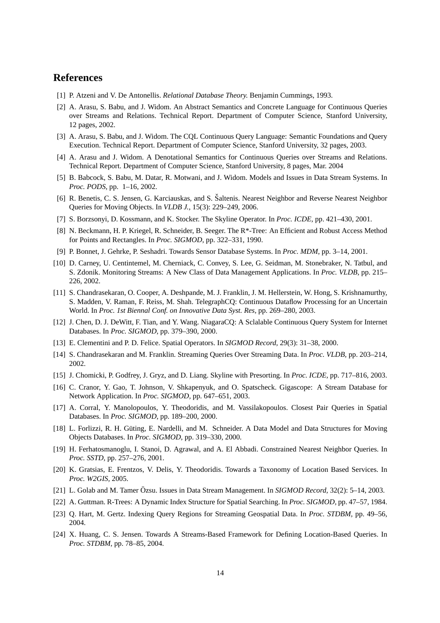## **References**

- [1] P. Atzeni and V. De Antonellis. *Relational Database Theory.* Benjamin Cummings, 1993.
- [2] A. Arasu, S. Babu, and J. Widom. An Abstract Semantics and Concrete Language for Continuous Queries over Streams and Relations. Technical Report. Department of Computer Science, Stanford University, 12 pages, 2002.
- [3] A. Arasu, S. Babu, and J. Widom. The CQL Continuous Query Language: Semantic Foundations and Query Execution. Technical Report. Department of Computer Science, Stanford University, 32 pages, 2003.
- [4] A. Arasu and J. Widom. A Denotational Semantics for Continuous Queries over Streams and Relations. Technical Report. Department of Computer Science, Stanford University, 8 pages, Mar. 2004
- [5] B. Babcock, S. Babu, M. Datar, R. Motwani, and J. Widom. Models and Issues in Data Stream Systems. In *Proc. PODS,* pp. 1–16, 2002.
- [6] R. Benetis, C. S. Jensen, G. Karciauskas, and S. Šaltenis. Nearest Neighbor and Reverse Nearest Neighbor Queries for Moving Objects. In *VLDB J.,* 15(3): 229–249, 2006.
- [7] S. Borzsonyi, D. Kossmann, and K. Stocker. The Skyline Operator. In *Proc. ICDE,* pp. 421–430, 2001.
- [8] N. Beckmann, H. P. Kriegel, R. Schneider, B. Seeger. The R\*-Tree: An Efficient and Robust Access Method for Points and Rectangles. In *Proc. SIGMOD,* pp. 322–331, 1990.
- [9] P. Bonnet, J. Gehrke, P. Seshadri. Towards Sensor Database Systems. In *Proc. MDM,* pp. 3–14, 2001.
- [10] D. Carney, U. Centintemel, M. Cherniack, C. Convey, S. Lee, G. Seidman, M. Stonebraker, N. Tatbul, and S. Zdonik. Monitoring Streams: A New Class of Data Management Applications. In *Proc. VLDB,* pp. 215– 226, 2002.
- [11] S. Chandrasekaran, O. Cooper, A. Deshpande, M. J. Franklin, J. M. Hellerstein, W. Hong, S. Krishnamurthy, S. Madden, V. Raman, F. Reiss, M. Shah. TelegraphCQ: Continuous Dataflow Processing for an Uncertain World. In *Proc. 1st Biennal Conf. on Innovative Data Syst. Res,* pp. 269–280, 2003.
- [12] J. Chen, D. J. DeWitt, F. Tian, and Y. Wang. NiagaraCQ: A Sclalable Continuous Query System for Internet Databases. In *Proc. SIGMOD,* pp. 379–390, 2000.
- [13] E. Clementini and P. D. Felice. Spatial Operators. In *SIGMOD Record,* 29(3): 31–38, 2000.
- [14] S. Chandrasekaran and M. Franklin. Streaming Queries Over Streaming Data. In *Proc. VLDB,* pp. 203–214, 2002.
- [15] J. Chomicki, P. Godfrey, J. Gryz, and D. Liang. Skyline with Presorting. In *Proc. ICDE,* pp. 717–816, 2003.
- [16] C. Cranor, Y. Gao, T. Johnson, V. Shkapenyuk, and O. Spatscheck. Gigascope: A Stream Database for Network Application. In *Proc. SIGMOD,* pp. 647–651, 2003.
- [17] A. Corral, Y. Manolopoulos, Y. Theodoridis, and M. Vassilakopoulos. Closest Pair Queries in Spatial Databases. In *Proc. SIGMOD,* pp. 189–200, 2000.
- [18] L. Forlizzi, R. H. Güting, E. Nardelli, and M. Schneider. A Data Model and Data Structures for Moving Objects Databases. In *Proc. SIGMOD,* pp. 319–330, 2000.
- [19] H. Ferhatosmanoglu, I. Stanoi, D. Agrawal, and A. El Abbadi. Constrained Nearest Neighbor Queries. In *Proc. SSTD,* pp. 257–276, 2001.
- [20] K. Gratsias, E. Frentzos, V. Delis, Y. Theodoridis. Towards a Taxonomy of Location Based Services. In *Proc. W2GIS,* 2005.
- [21] L. Golab and M. Tamer Özsu. Issues in Data Stream Management. In *SIGMOD Record*, 32(2): 5–14, 2003.
- [22] A. Guttman. R-Trees: A Dynamic Index Structure for Spatial Searching. In *Proc. SIGMOD,* pp. 47–57, 1984.
- [23] Q. Hart, M. Gertz. Indexing Query Regions for Streaming Geospatial Data. In *Proc. STDBM,* pp. 49–56, 2004.
- [24] X. Huang, C. S. Jensen. Towards A Streams-Based Framework for Defining Location-Based Queries. In *Proc. STDBM,* pp. 78–85, 2004.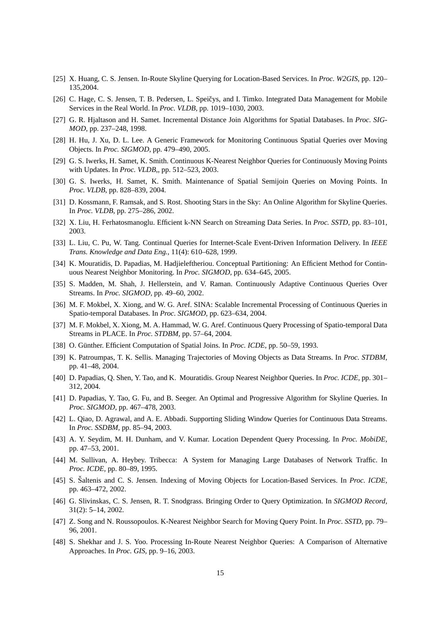- [25] X. Huang, C. S. Jensen. In-Route Skyline Querying for Location-Based Services. In *Proc. W2GIS,* pp. 120– 135,2004.
- [26] C. Hage, C. S. Jensen, T. B. Pedersen, L. Speičys, and I. Timko. Integrated Data Management for Mobile Services in the Real World. In *Proc. VLDB,* pp. 1019–1030, 2003.
- [27] G. R. Hjaltason and H. Samet. Incremental Distance Join Algorithms for Spatial Databases. In *Proc. SIG-MOD,* pp. 237–248, 1998.
- [28] H. Hu, J. Xu, D. L. Lee. A Generic Framework for Monitoring Continuous Spatial Queries over Moving Objects. In *Proc. SIGMOD,* pp. 479–490, 2005.
- [29] G. S. Iwerks, H. Samet, K. Smith. Continuous K-Nearest Neighbor Queries for Continuously Moving Points with Updates. In *Proc. VLDB,*, pp. 512–523, 2003.
- [30] G. S. Iwerks, H. Samet, K. Smith. Maintenance of Spatial Semijoin Queries on Moving Points. In *Proc. VLDB,* pp. 828–839, 2004.
- [31] D. Kossmann, F. Ramsak, and S. Rost. Shooting Stars in the Sky: An Online Algorithm for Skyline Queries. In *Proc. VLDB,* pp. 275–286, 2002.
- [32] X. Liu, H. Ferhatosmanoglu. Efficient k-NN Search on Streaming Data Series. In *Proc. SSTD,* pp. 83–101, 2003.
- [33] L. Liu, C. Pu, W. Tang. Continual Queries for Internet-Scale Event-Driven Information Delivery. In *IEEE Trans. Knowledge and Data Eng.,* 11(4): 610–628, 1999.
- [34] K. Mouratidis, D. Papadias, M. Hadjieleftheriou. Conceptual Partitioning: An Efficient Method for Continuous Nearest Neighbor Monitoring. In *Proc. SIGMOD,* pp. 634–645, 2005.
- [35] S. Madden, M. Shah, J. Hellerstein, and V. Raman. Continuously Adaptive Continuous Queries Over Streams. In *Proc. SIGMOD,* pp. 49–60, 2002.
- [36] M. F. Mokbel, X. Xiong, and W. G. Aref. SINA: Scalable Incremental Processing of Continuous Queries in Spatio-temporal Databases. In *Proc. SIGMOD,* pp. 623–634, 2004.
- [37] M. F. Mokbel, X. Xiong, M. A. Hammad, W. G. Aref. Continuous Query Processing of Spatio-temporal Data Streams in PLACE. In *Proc. STDBM,* pp. 57–64, 2004.
- [38] O. Günther. Efficient Computation of Spatial Joins. In *Proc. ICDE*, pp. 50–59, 1993.
- [39] K. Patroumpas, T. K. Sellis. Managing Trajectories of Moving Objects as Data Streams. In *Proc. STDBM,* pp. 41–48, 2004.
- [40] D. Papadias, Q. Shen, Y. Tao, and K. Mouratidis. Group Nearest Neighbor Queries. In *Proc. ICDE,* pp. 301– 312, 2004.
- [41] D. Papadias, Y. Tao, G. Fu, and B. Seeger. An Optimal and Progressive Algorithm for Skyline Queries. In *Proc. SIGMOD,* pp. 467–478, 2003.
- [42] L. Qiao, D. Agrawal, and A. E. Abbadi. Supporting Sliding Window Queries for Continuous Data Streams. In *Proc. SSDBM,* pp. 85–94, 2003.
- [43] A. Y. Seydim, M. H. Dunham, and V. Kumar. Location Dependent Query Processing. In *Proc. MobiDE,* pp. 47–53, 2001.
- [44] M. Sullivan, A. Heybey. Tribecca: A System for Managing Large Databases of Network Traffic. In *Proc. ICDE,* pp. 80–89, 1995.
- [45] S. Šaltenis and C. S. Jensen. Indexing of Moving Objects for Location-Based Services. In Proc. ICDE, pp. 463–472, 2002.
- [46] G. Slivinskas, C. S. Jensen, R. T. Snodgrass. Bringing Order to Query Optimization. In *SIGMOD Record,* 31(2): 5–14, 2002.
- [47] Z. Song and N. Roussopoulos. K-Nearest Neighbor Search for Moving Query Point. In *Proc. SSTD,* pp. 79– 96, 2001.
- [48] S. Shekhar and J. S. Yoo. Processing In-Route Nearest Neighbor Queries: A Comparison of Alternative Approaches. In *Proc. GIS,* pp. 9–16, 2003.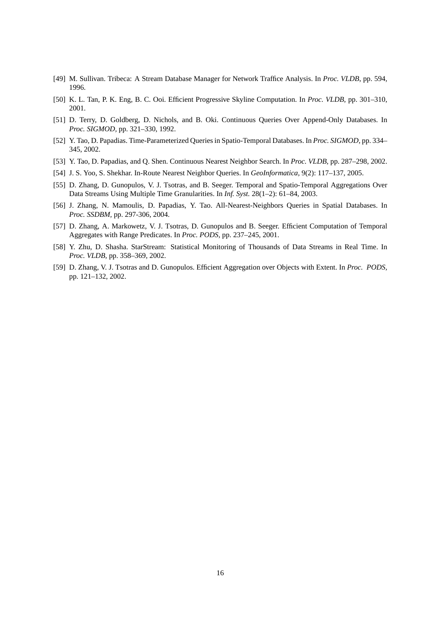- [49] M. Sullivan. Tribeca: A Stream Database Manager for Network Traffice Analysis. In *Proc. VLDB*, pp. 594, 1996.
- [50] K. L. Tan, P. K. Eng, B. C. Ooi. Efficient Progressive Skyline Computation. In *Proc. VLDB,* pp. 301–310, 2001.
- [51] D. Terry, D. Goldberg, D. Nichols, and B. Oki. Continuous Queries Over Append-Only Databases. In *Proc. SIGMOD,* pp. 321–330, 1992.
- [52] Y. Tao, D. Papadias. Time-Parameterized Queries in Spatio-Temporal Databases. In *Proc. SIGMOD,* pp. 334– 345, 2002.
- [53] Y. Tao, D. Papadias, and Q. Shen. Continuous Nearest Neighbor Search. In *Proc. VLDB,* pp. 287–298, 2002.
- [54] J. S. Yoo, S. Shekhar. In-Route Nearest Neighbor Queries. In *GeoInformatica,* 9(2): 117–137, 2005.
- [55] D. Zhang, D. Gunopulos, V. J. Tsotras, and B. Seeger. Temporal and Spatio-Temporal Aggregations Over Data Streams Using Multiple Time Granularities. In *Inf. Syst.* 28(1–2): 61–84, 2003.
- [56] J. Zhang, N. Mamoulis, D. Papadias, Y. Tao. All-Nearest-Neighbors Queries in Spatial Databases. In *Proc. SSDBM,* pp. 297-306, 2004.
- [57] D. Zhang, A. Markowetz, V. J. Tsotras, D. Gunopulos and B. Seeger. Efficient Computation of Temporal Aggregates with Range Predicates. In *Proc. PODS,* pp. 237–245, 2001.
- [58] Y. Zhu, D. Shasha. StarStream: Statistical Monitoring of Thousands of Data Streams in Real Time. In *Proc. VLDB,* pp. 358–369, 2002.
- [59] D. Zhang, V. J. Tsotras and D. Gunopulos. Efficient Aggregation over Objects with Extent. In *Proc. PODS,* pp. 121–132, 2002.